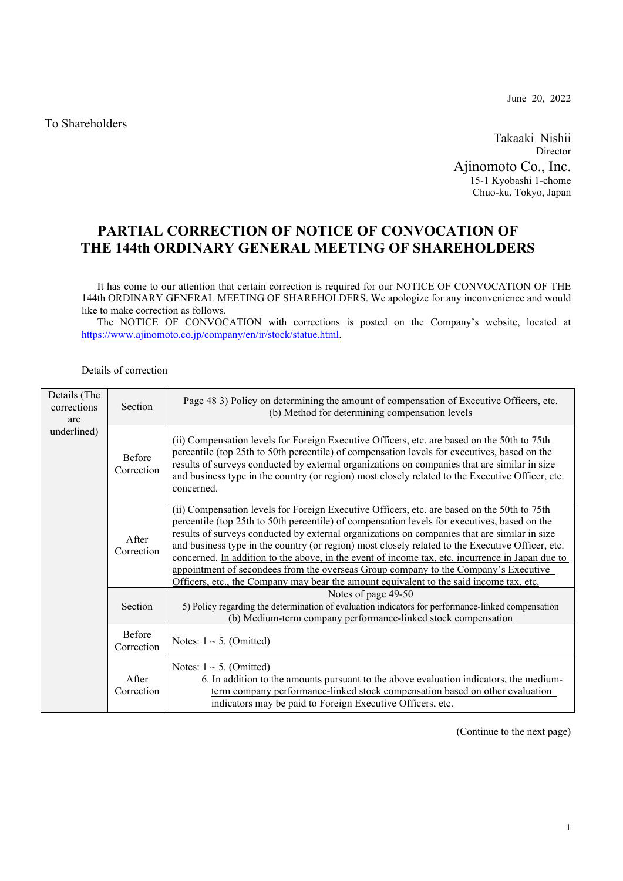To Shareholders

June 20, 2022

Takaaki Nishii Director Ajinomoto Co., Inc. 15-1 Kyobashi 1-chome Chuo-ku, Tokyo, Japan

## **PARTIAL CORRECTION OF NOTICE OF CONVOCATION OF THE 144th ORDINARY GENERAL MEETING OF SHAREHOLDERS**

 It has come to our attention that certain correction is required for our NOTICE OF CONVOCATION OF THE 144th ORDINARY GENERAL MEETING OF SHAREHOLDERS. We apologize for any inconvenience and would like to make correction as follows.

The NOTICE OF CONVOCATION with corrections is posted on the Company's website, located at https://www.ajinomoto.co.jp/company/en/ir/stock/statue.html.

## Details of correction

| Details (The<br>corrections<br>are<br>underlined) | Section                     | Page 48 3) Policy on determining the amount of compensation of Executive Officers, etc.<br>(b) Method for determining compensation levels                                                                                                                                                                                                                                                                                                                                                                                                                                                                                                                                             |  |  |
|---------------------------------------------------|-----------------------------|---------------------------------------------------------------------------------------------------------------------------------------------------------------------------------------------------------------------------------------------------------------------------------------------------------------------------------------------------------------------------------------------------------------------------------------------------------------------------------------------------------------------------------------------------------------------------------------------------------------------------------------------------------------------------------------|--|--|
|                                                   | Before<br>Correction        | (ii) Compensation levels for Foreign Executive Officers, etc. are based on the 50th to 75th<br>percentile (top 25th to 50th percentile) of compensation levels for executives, based on the<br>results of surveys conducted by external organizations on companies that are similar in size<br>and business type in the country (or region) most closely related to the Executive Officer, etc.<br>concerned.                                                                                                                                                                                                                                                                         |  |  |
|                                                   | After<br>Correction         | (ii) Compensation levels for Foreign Executive Officers, etc. are based on the 50th to 75th<br>percentile (top 25th to 50th percentile) of compensation levels for executives, based on the<br>results of surveys conducted by external organizations on companies that are similar in size<br>and business type in the country (or region) most closely related to the Executive Officer, etc.<br>concerned. In addition to the above, in the event of income tax, etc. incurrence in Japan due to<br>appointment of secondees from the overseas Group company to the Company's Executive<br>Officers, etc., the Company may bear the amount equivalent to the said income tax, etc. |  |  |
|                                                   | Section                     | Notes of page 49-50<br>5) Policy regarding the determination of evaluation indicators for performance-linked compensation<br>(b) Medium-term company performance-linked stock compensation                                                                                                                                                                                                                                                                                                                                                                                                                                                                                            |  |  |
|                                                   | <b>Before</b><br>Correction | Notes: $1 \sim 5$ . (Omitted)                                                                                                                                                                                                                                                                                                                                                                                                                                                                                                                                                                                                                                                         |  |  |
|                                                   | <b>A</b> fter<br>Correction | Notes: $1 \sim 5$ . (Omitted)<br>6. In addition to the amounts pursuant to the above evaluation indicators, the medium-<br>term company performance-linked stock compensation based on other evaluation<br>indicators may be paid to Foreign Executive Officers, etc.                                                                                                                                                                                                                                                                                                                                                                                                                 |  |  |

(Continue to the next page)